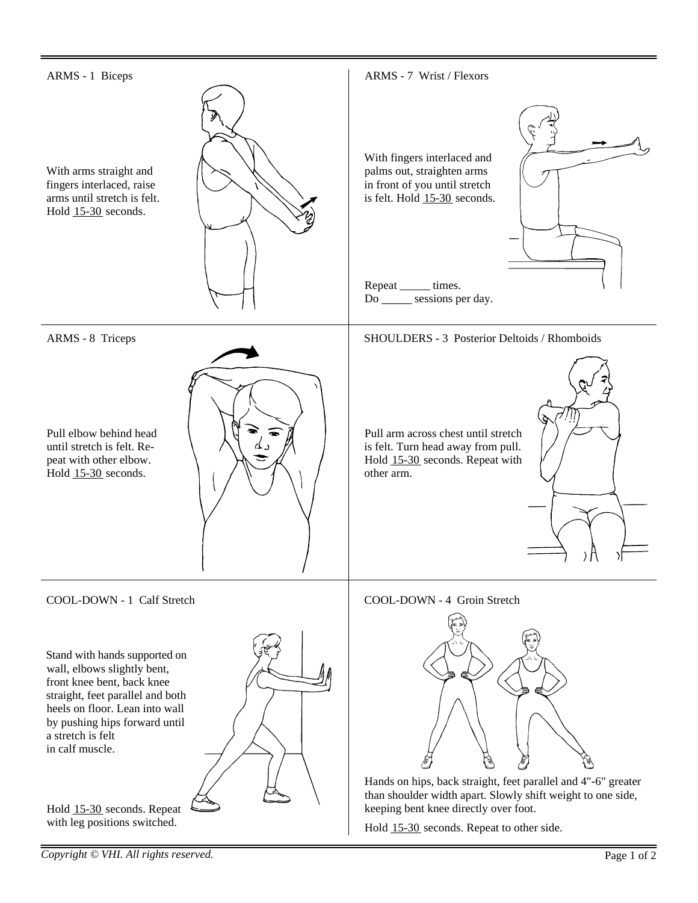